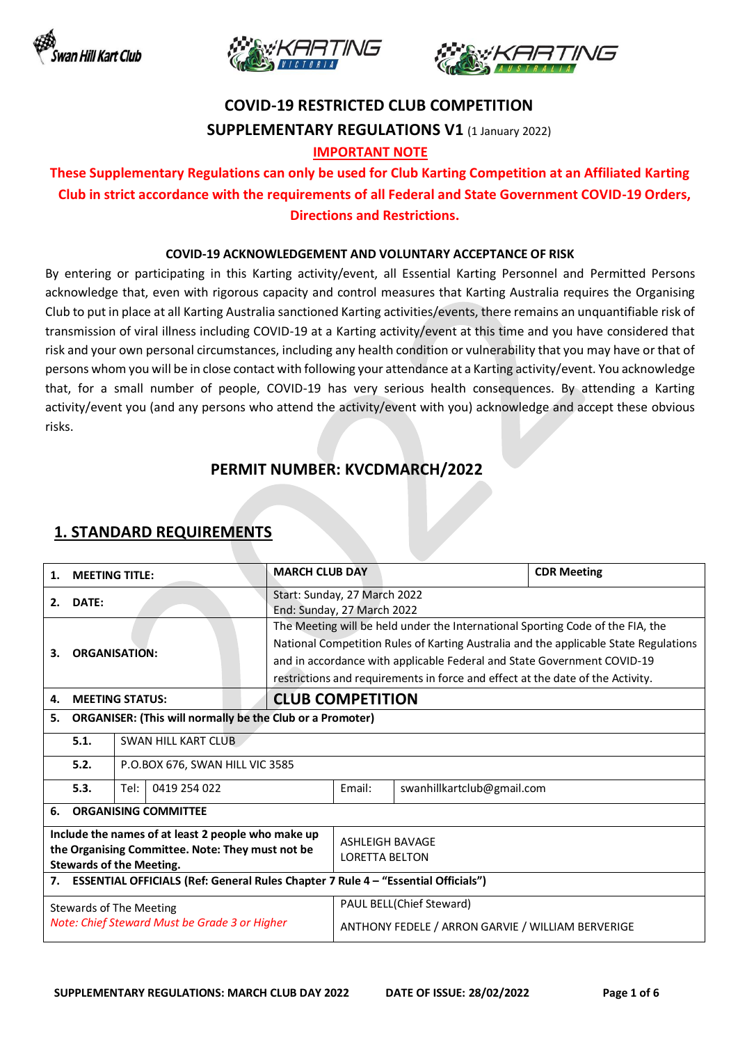





# **COVID-19 RESTRICTED CLUB COMPETITION SUPPLEMENTARY REGULATIONS V1** (1 January 2022)

#### **IMPORTANT NOTE**

#### **These Supplementary Regulations can only be used for Club Karting Competition at an Affiliated Karting Club in strict accordance with the requirements of all Federal and State Government COVID-19 Orders, Directions and Restrictions.**

#### **COVID-19 ACKNOWLEDGEMENT AND VOLUNTARY ACCEPTANCE OF RISK**

By entering or participating in this Karting activity/event, all Essential Karting Personnel and Permitted Persons acknowledge that, even with rigorous capacity and control measures that Karting Australia requires the Organising Club to put in place at all Karting Australia sanctioned Karting activities/events, there remains an unquantifiable risk of transmission of viral illness including COVID-19 at a Karting activity/event at this time and you have considered that risk and your own personal circumstances, including any health condition or vulnerability that you may have or that of persons whom you will be in close contact with following your attendance at a Karting activity/event. You acknowledge that, for a small number of people, COVID-19 has very serious health consequences. By attending a Karting activity/event you (and any persons who attend the activity/event with you) acknowledge and accept these obvious risks.

#### **PERMIT NUMBER: KVCDMARCH/2022**

|                                                                                                                                           | <b>MEETING TITLE:</b>                                                                   |                                 |                                                                  | <b>MARCH CLUB DAY</b>                                                                                                                                                                                                                                                                                                               |                                                            |                            | <b>CDR Meeting</b> |  |
|-------------------------------------------------------------------------------------------------------------------------------------------|-----------------------------------------------------------------------------------------|---------------------------------|------------------------------------------------------------------|-------------------------------------------------------------------------------------------------------------------------------------------------------------------------------------------------------------------------------------------------------------------------------------------------------------------------------------|------------------------------------------------------------|----------------------------|--------------------|--|
| 2.                                                                                                                                        | <b>DATE:</b>                                                                            |                                 |                                                                  |                                                                                                                                                                                                                                                                                                                                     | Start: Sunday, 27 March 2022<br>End: Sunday, 27 March 2022 |                            |                    |  |
| З.                                                                                                                                        | <b>ORGANISATION:</b>                                                                    |                                 |                                                                  | The Meeting will be held under the International Sporting Code of the FIA, the<br>National Competition Rules of Karting Australia and the applicable State Regulations<br>and in accordance with applicable Federal and State Government COVID-19<br>restrictions and requirements in force and effect at the date of the Activity. |                                                            |                            |                    |  |
| 4.                                                                                                                                        | <b>MEETING STATUS:</b>                                                                  |                                 |                                                                  | <b>CLUB COMPETITION</b>                                                                                                                                                                                                                                                                                                             |                                                            |                            |                    |  |
| 5.                                                                                                                                        |                                                                                         |                                 | <b>ORGANISER: (This will normally be the Club or a Promoter)</b> |                                                                                                                                                                                                                                                                                                                                     |                                                            |                            |                    |  |
|                                                                                                                                           | 5.1.                                                                                    | SWAN HILL KART CLUB             |                                                                  |                                                                                                                                                                                                                                                                                                                                     |                                                            |                            |                    |  |
|                                                                                                                                           | 5.2.                                                                                    | P.O.BOX 676, SWAN HILL VIC 3585 |                                                                  |                                                                                                                                                                                                                                                                                                                                     |                                                            |                            |                    |  |
|                                                                                                                                           | 5.3.                                                                                    | 0419 254 022<br>Tel:            |                                                                  |                                                                                                                                                                                                                                                                                                                                     | Email:                                                     | swanhillkartclub@gmail.com |                    |  |
| 6.                                                                                                                                        | <b>ORGANISING COMMITTEE</b>                                                             |                                 |                                                                  |                                                                                                                                                                                                                                                                                                                                     |                                                            |                            |                    |  |
| Include the names of at least 2 people who make up<br>the Organising Committee. Note: They must not be<br><b>Stewards of the Meeting.</b> |                                                                                         |                                 |                                                                  |                                                                                                                                                                                                                                                                                                                                     | <b>ASHLEIGH BAVAGE</b><br><b>LORETTA BELTON</b>            |                            |                    |  |
|                                                                                                                                           | ESSENTIAL OFFICIALS (Ref: General Rules Chapter 7 Rule 4 - "Essential Officials")<br>7. |                                 |                                                                  |                                                                                                                                                                                                                                                                                                                                     |                                                            |                            |                    |  |
| Stewards of The Meeting                                                                                                                   |                                                                                         |                                 |                                                                  |                                                                                                                                                                                                                                                                                                                                     | PAUL BELL(Chief Steward)                                   |                            |                    |  |
| Note: Chief Steward Must be Grade 3 or Higher                                                                                             |                                                                                         |                                 |                                                                  |                                                                                                                                                                                                                                                                                                                                     | ANTHONY FEDELE / ARRON GARVIE / WILLIAM BERVERIGE          |                            |                    |  |

#### **1. STANDARD REQUIREMENTS**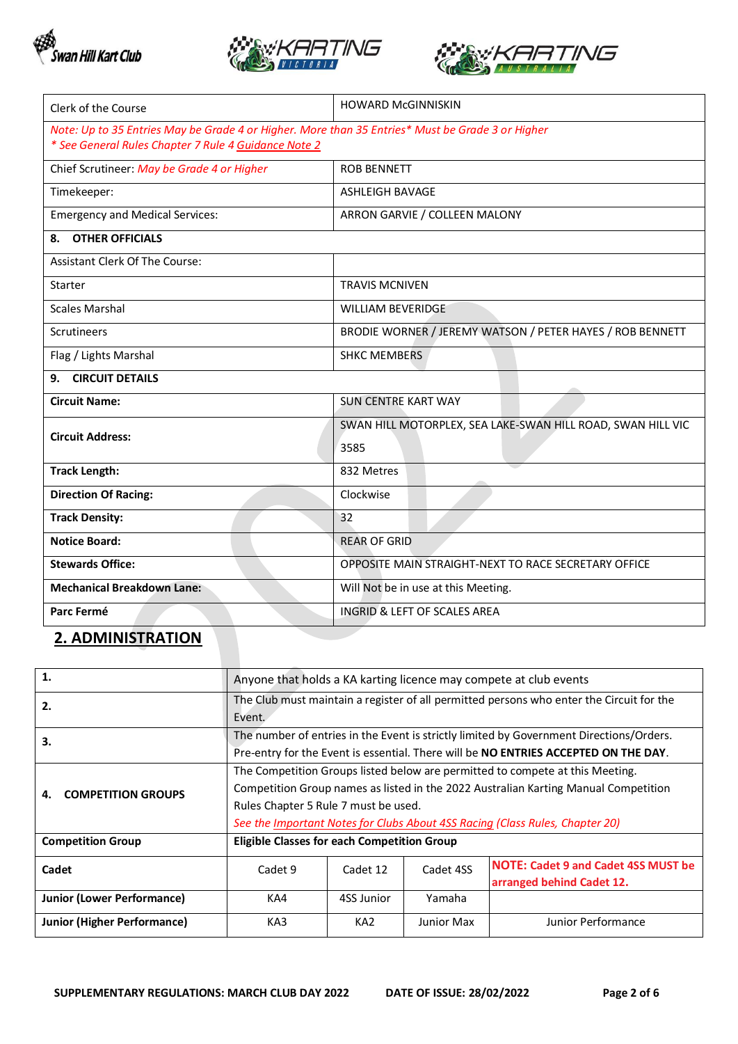





| Clerk of the Course                                                                              | <b>HOWARD McGINNISKIN</b>                                   |  |  |  |
|--------------------------------------------------------------------------------------------------|-------------------------------------------------------------|--|--|--|
| Note: Up to 35 Entries May be Grade 4 or Higher. More than 35 Entries* Must be Grade 3 or Higher |                                                             |  |  |  |
| * See General Rules Chapter 7 Rule 4 Guidance Note 2                                             |                                                             |  |  |  |
| Chief Scrutineer: May be Grade 4 or Higher                                                       | <b>ROB BENNETT</b>                                          |  |  |  |
| Timekeeper:                                                                                      | <b>ASHLEIGH BAVAGE</b>                                      |  |  |  |
| <b>Emergency and Medical Services:</b>                                                           | ARRON GARVIE / COLLEEN MALONY                               |  |  |  |
| <b>OTHER OFFICIALS</b><br>8.                                                                     |                                                             |  |  |  |
| Assistant Clerk Of The Course:                                                                   |                                                             |  |  |  |
| Starter                                                                                          | <b>TRAVIS MCNIVEN</b>                                       |  |  |  |
| <b>Scales Marshal</b>                                                                            | <b>WILLIAM BEVERIDGE</b>                                    |  |  |  |
| <b>Scrutineers</b>                                                                               | BRODIE WORNER / JEREMY WATSON / PETER HAYES / ROB BENNETT   |  |  |  |
| Flag / Lights Marshal                                                                            | <b>SHKC MEMBERS</b>                                         |  |  |  |
| <b>CIRCUIT DETAILS</b><br>9.                                                                     |                                                             |  |  |  |
| <b>Circuit Name:</b>                                                                             | <b>SUN CENTRE KART WAY</b>                                  |  |  |  |
| <b>Circuit Address:</b>                                                                          | SWAN HILL MOTORPLEX, SEA LAKE-SWAN HILL ROAD, SWAN HILL VIC |  |  |  |
|                                                                                                  | 3585                                                        |  |  |  |
| <b>Track Length:</b>                                                                             | 832 Metres                                                  |  |  |  |
| <b>Direction Of Racing:</b>                                                                      | Clockwise                                                   |  |  |  |
| <b>Track Density:</b>                                                                            | 32                                                          |  |  |  |
| <b>Notice Board:</b>                                                                             | <b>REAR OF GRID</b>                                         |  |  |  |
| <b>Stewards Office:</b>                                                                          | OPPOSITE MAIN STRAIGHT-NEXT TO RACE SECRETARY OFFICE        |  |  |  |
| <b>Mechanical Breakdown Lane:</b>                                                                | Will Not be in use at this Meeting.                         |  |  |  |
| Parc Fermé                                                                                       | <b>INGRID &amp; LEFT OF SCALES AREA</b>                     |  |  |  |

# **2. ADMINISTRATION**

| 1.                                |                                                                                          |                 |            |                                            |  |  |
|-----------------------------------|------------------------------------------------------------------------------------------|-----------------|------------|--------------------------------------------|--|--|
|                                   | Anyone that holds a KA karting licence may compete at club events                        |                 |            |                                            |  |  |
| 2.                                | The Club must maintain a register of all permitted persons who enter the Circuit for the |                 |            |                                            |  |  |
|                                   | Event.                                                                                   |                 |            |                                            |  |  |
| 3.                                | The number of entries in the Event is strictly limited by Government Directions/Orders.  |                 |            |                                            |  |  |
|                                   | Pre-entry for the Event is essential. There will be NO ENTRIES ACCEPTED ON THE DAY.      |                 |            |                                            |  |  |
|                                   | The Competition Groups listed below are permitted to compete at this Meeting.            |                 |            |                                            |  |  |
| <b>COMPETITION GROUPS</b><br>4.   | Competition Group names as listed in the 2022 Australian Karting Manual Competition      |                 |            |                                            |  |  |
|                                   | Rules Chapter 5 Rule 7 must be used.                                                     |                 |            |                                            |  |  |
|                                   | See the Important Notes for Clubs About 4SS Racing (Class Rules, Chapter 20)             |                 |            |                                            |  |  |
| <b>Competition Group</b>          | <b>Eligible Classes for each Competition Group</b>                                       |                 |            |                                            |  |  |
| Cadet                             | Cadet 9                                                                                  | Cadet 12        | Cadet 4SS  | <b>NOTE: Cadet 9 and Cadet 4SS MUST be</b> |  |  |
|                                   |                                                                                          |                 |            | arranged behind Cadet 12.                  |  |  |
| <b>Junior (Lower Performance)</b> | KA4                                                                                      | 4SS Junior      | Yamaha     |                                            |  |  |
| Junior (Higher Performance)       | KA3                                                                                      | KA <sub>2</sub> | Junior Max | Junior Performance                         |  |  |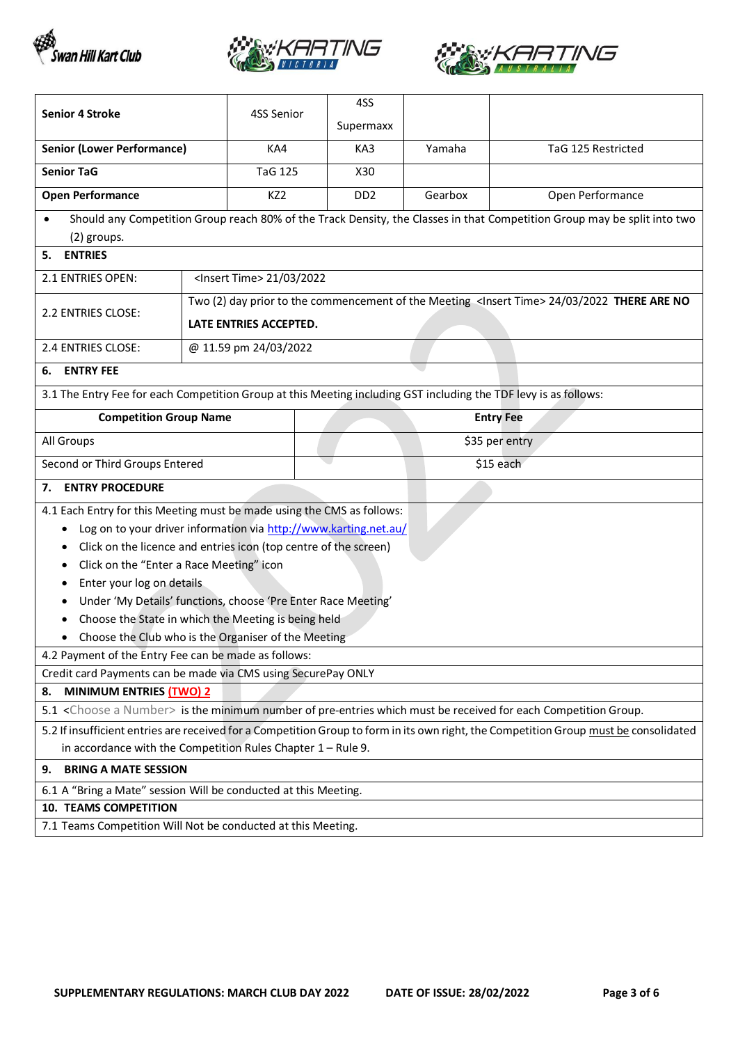





| <b>Senior 4 Stroke</b>                                                                                                                | 4SS Senior                                                       |                | 4SS<br>Supermaxx            |         |                                                                                                                          |  |
|---------------------------------------------------------------------------------------------------------------------------------------|------------------------------------------------------------------|----------------|-----------------------------|---------|--------------------------------------------------------------------------------------------------------------------------|--|
|                                                                                                                                       |                                                                  |                |                             |         |                                                                                                                          |  |
| <b>Senior (Lower Performance)</b>                                                                                                     | KA4                                                              |                | KA3                         | Yamaha  | TaG 125 Restricted                                                                                                       |  |
| <b>Senior TaG</b>                                                                                                                     | <b>TaG 125</b>                                                   |                | X30                         |         |                                                                                                                          |  |
| <b>Open Performance</b>                                                                                                               | KZ <sub>2</sub>                                                  |                | D <sub>D</sub> <sub>2</sub> | Gearbox | Open Performance                                                                                                         |  |
| (2) groups.                                                                                                                           |                                                                  |                |                             |         | Should any Competition Group reach 80% of the Track Density, the Classes in that Competition Group may be split into two |  |
| <b>ENTRIES</b><br>5.                                                                                                                  |                                                                  |                |                             |         |                                                                                                                          |  |
| 2.1 ENTRIES OPEN:                                                                                                                     | <lnsert time=""> 21/03/2022</lnsert>                             |                |                             |         |                                                                                                                          |  |
|                                                                                                                                       |                                                                  |                |                             |         | Two (2) day prior to the commencement of the Meeting <lnsert time=""> 24/03/2022 THERE ARE NO</lnsert>                   |  |
| 2.2 ENTRIES CLOSE:                                                                                                                    | LATE ENTRIES ACCEPTED.                                           |                |                             |         |                                                                                                                          |  |
| 2.4 ENTRIES CLOSE:                                                                                                                    | @ 11.59 pm 24/03/2022                                            |                |                             |         |                                                                                                                          |  |
| <b>ENTRY FEE</b><br>6.                                                                                                                |                                                                  |                |                             |         |                                                                                                                          |  |
| 3.1 The Entry Fee for each Competition Group at this Meeting including GST including the TDF levy is as follows:                      |                                                                  |                |                             |         |                                                                                                                          |  |
| <b>Competition Group Name</b>                                                                                                         |                                                                  |                | <b>Entry Fee</b>            |         |                                                                                                                          |  |
| All Groups                                                                                                                            |                                                                  | \$35 per entry |                             |         |                                                                                                                          |  |
| Second or Third Groups Entered                                                                                                        |                                                                  | \$15 each      |                             |         |                                                                                                                          |  |
| <b>ENTRY PROCEDURE</b><br>7.                                                                                                          |                                                                  |                |                             |         |                                                                                                                          |  |
| 4.1 Each Entry for this Meeting must be made using the CMS as follows:                                                                |                                                                  |                |                             |         |                                                                                                                          |  |
|                                                                                                                                       | Log on to your driver information via http://www.karting.net.au/ |                |                             |         |                                                                                                                          |  |
|                                                                                                                                       | Click on the licence and entries icon (top centre of the screen) |                |                             |         |                                                                                                                          |  |
| ٠                                                                                                                                     | Click on the "Enter a Race Meeting" icon                         |                |                             |         |                                                                                                                          |  |
| Enter your log on details                                                                                                             |                                                                  |                |                             |         |                                                                                                                          |  |
| ٠                                                                                                                                     | Under 'My Details' functions, choose 'Pre Enter Race Meeting'    |                |                             |         |                                                                                                                          |  |
| Choose the State in which the Meeting is being held                                                                                   |                                                                  |                |                             |         |                                                                                                                          |  |
| Choose the Club who is the Organiser of the Meeting<br>$\bullet$<br>4.2 Payment of the Entry Fee can be made as follows:              |                                                                  |                |                             |         |                                                                                                                          |  |
| Credit card Payments can be made via CMS using SecurePay ONLY                                                                         |                                                                  |                |                             |         |                                                                                                                          |  |
| MINIMUM ENTRIES (TWO) 2<br>8.                                                                                                         |                                                                  |                |                             |         |                                                                                                                          |  |
| 5.1 <choose a="" number=""> is the minimum number of pre-entries which must be received for each Competition Group.</choose>          |                                                                  |                |                             |         |                                                                                                                          |  |
| 5.2 If insufficient entries are received for a Competition Group to form in its own right, the Competition Group must be consolidated |                                                                  |                |                             |         |                                                                                                                          |  |
| in accordance with the Competition Rules Chapter $1 -$ Rule 9.                                                                        |                                                                  |                |                             |         |                                                                                                                          |  |
| <b>BRING A MATE SESSION</b><br>9.                                                                                                     |                                                                  |                |                             |         |                                                                                                                          |  |
|                                                                                                                                       | 6.1 A "Bring a Mate" session Will be conducted at this Meeting.  |                |                             |         |                                                                                                                          |  |
| <b>10. TEAMS COMPETITION</b>                                                                                                          |                                                                  |                |                             |         |                                                                                                                          |  |
| 7.1 Teams Competition Will Not be conducted at this Meeting.                                                                          |                                                                  |                |                             |         |                                                                                                                          |  |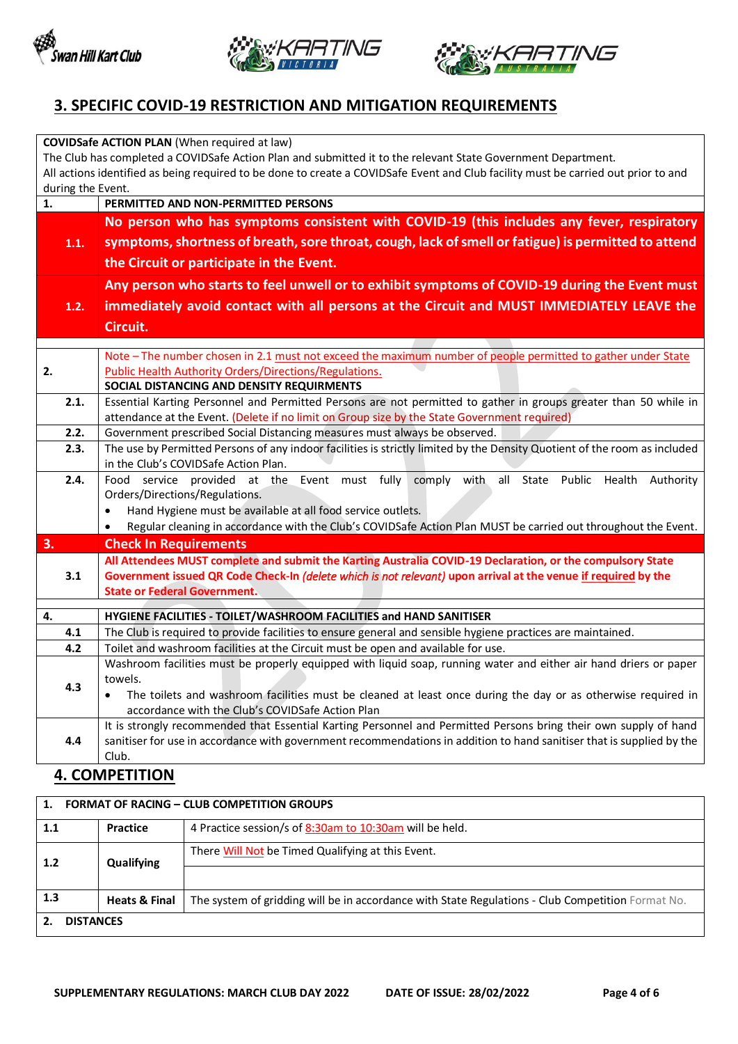





## **3. SPECIFIC COVID-19 RESTRICTION AND MITIGATION REQUIREMENTS**

|                                                                                                                                                         | <b>COVIDSafe ACTION PLAN (When required at law)</b>                                                                                                                           |  |  |  |  |  |
|---------------------------------------------------------------------------------------------------------------------------------------------------------|-------------------------------------------------------------------------------------------------------------------------------------------------------------------------------|--|--|--|--|--|
| The Club has completed a COVIDSafe Action Plan and submitted it to the relevant State Government Department.                                            |                                                                                                                                                                               |  |  |  |  |  |
| All actions identified as being required to be done to create a COVIDSafe Event and Club facility must be carried out prior to and<br>during the Event. |                                                                                                                                                                               |  |  |  |  |  |
| 1.                                                                                                                                                      | PERMITTED AND NON-PERMITTED PERSONS                                                                                                                                           |  |  |  |  |  |
|                                                                                                                                                         | No person who has symptoms consistent with COVID-19 (this includes any fever, respiratory                                                                                     |  |  |  |  |  |
| 1.1.                                                                                                                                                    | symptoms, shortness of breath, sore throat, cough, lack of smell or fatigue) is permitted to attend                                                                           |  |  |  |  |  |
|                                                                                                                                                         | the Circuit or participate in the Event.                                                                                                                                      |  |  |  |  |  |
|                                                                                                                                                         | Any person who starts to feel unwell or to exhibit symptoms of COVID-19 during the Event must                                                                                 |  |  |  |  |  |
|                                                                                                                                                         |                                                                                                                                                                               |  |  |  |  |  |
| 1.2.                                                                                                                                                    | immediately avoid contact with all persons at the Circuit and MUST IMMEDIATELY LEAVE the                                                                                      |  |  |  |  |  |
|                                                                                                                                                         | Circuit.                                                                                                                                                                      |  |  |  |  |  |
|                                                                                                                                                         | Note - The number chosen in 2.1 must not exceed the maximum number of people permitted to gather under State                                                                  |  |  |  |  |  |
| 2.                                                                                                                                                      | <b>Public Health Authority Orders/Directions/Regulations.</b>                                                                                                                 |  |  |  |  |  |
|                                                                                                                                                         | SOCIAL DISTANCING AND DENSITY REQUIRMENTS                                                                                                                                     |  |  |  |  |  |
| 2.1.                                                                                                                                                    | Essential Karting Personnel and Permitted Persons are not permitted to gather in groups greater than 50 while in                                                              |  |  |  |  |  |
| 2.2.                                                                                                                                                    | attendance at the Event. (Delete if no limit on Group size by the State Government required)<br>Government prescribed Social Distancing measures must always be observed.     |  |  |  |  |  |
| 2.3.                                                                                                                                                    | The use by Permitted Persons of any indoor facilities is strictly limited by the Density Quotient of the room as included                                                     |  |  |  |  |  |
|                                                                                                                                                         | in the Club's COVIDSafe Action Plan.                                                                                                                                          |  |  |  |  |  |
| 2.4.                                                                                                                                                    | Food service provided at the Event must fully comply with<br>all<br>State Public<br>Health Authority                                                                          |  |  |  |  |  |
|                                                                                                                                                         | Orders/Directions/Regulations.                                                                                                                                                |  |  |  |  |  |
|                                                                                                                                                         | Hand Hygiene must be available at all food service outlets.<br>Regular cleaning in accordance with the Club's COVIDSafe Action Plan MUST be carried out throughout the Event. |  |  |  |  |  |
| 3.                                                                                                                                                      | <b>Check In Requirements</b>                                                                                                                                                  |  |  |  |  |  |
|                                                                                                                                                         | All Attendees MUST complete and submit the Karting Australia COVID-19 Declaration, or the compulsory State                                                                    |  |  |  |  |  |
| 3.1                                                                                                                                                     | Government issued QR Code Check-In (delete which is not relevant) upon arrival at the venue if required by the                                                                |  |  |  |  |  |
|                                                                                                                                                         | <b>State or Federal Government.</b>                                                                                                                                           |  |  |  |  |  |
| 4.                                                                                                                                                      | HYGIENE FACILITIES - TOILET/WASHROOM FACILITIES and HAND SANITISER                                                                                                            |  |  |  |  |  |
| 4.1                                                                                                                                                     | The Club is required to provide facilities to ensure general and sensible hygiene practices are maintained.                                                                   |  |  |  |  |  |
| 4.2                                                                                                                                                     | Toilet and washroom facilities at the Circuit must be open and available for use.                                                                                             |  |  |  |  |  |
|                                                                                                                                                         | Washroom facilities must be properly equipped with liquid soap, running water and either air hand driers or paper                                                             |  |  |  |  |  |
| 4.3                                                                                                                                                     | towels.<br>The toilets and washroom facilities must be cleaned at least once during the day or as otherwise required in                                                       |  |  |  |  |  |
|                                                                                                                                                         | accordance with the Club's COVIDSafe Action Plan                                                                                                                              |  |  |  |  |  |
|                                                                                                                                                         | It is strongly recommended that Essential Karting Personnel and Permitted Persons bring their own supply of hand                                                              |  |  |  |  |  |
| 4.4                                                                                                                                                     | sanitiser for use in accordance with government recommendations in addition to hand sanitiser that is supplied by the                                                         |  |  |  |  |  |
|                                                                                                                                                         | Club.                                                                                                                                                                         |  |  |  |  |  |

#### **4. COMPETITION**

| $\mathbf{1}$ .   | <b>FORMAT OF RACING – CLUB COMPETITION GROUPS</b> |                                                                                                   |  |  |  |
|------------------|---------------------------------------------------|---------------------------------------------------------------------------------------------------|--|--|--|
| 1.1              | <b>Practice</b>                                   | 4 Practice session/s of 8:30am to 10:30am will be held.                                           |  |  |  |
| 1.2              | Qualifying                                        | There Will Not be Timed Qualifying at this Event.                                                 |  |  |  |
| 1.3              | <b>Heats &amp; Final</b>                          | The system of gridding will be in accordance with State Regulations - Club Competition Format No. |  |  |  |
| <b>DISTANCES</b> |                                                   |                                                                                                   |  |  |  |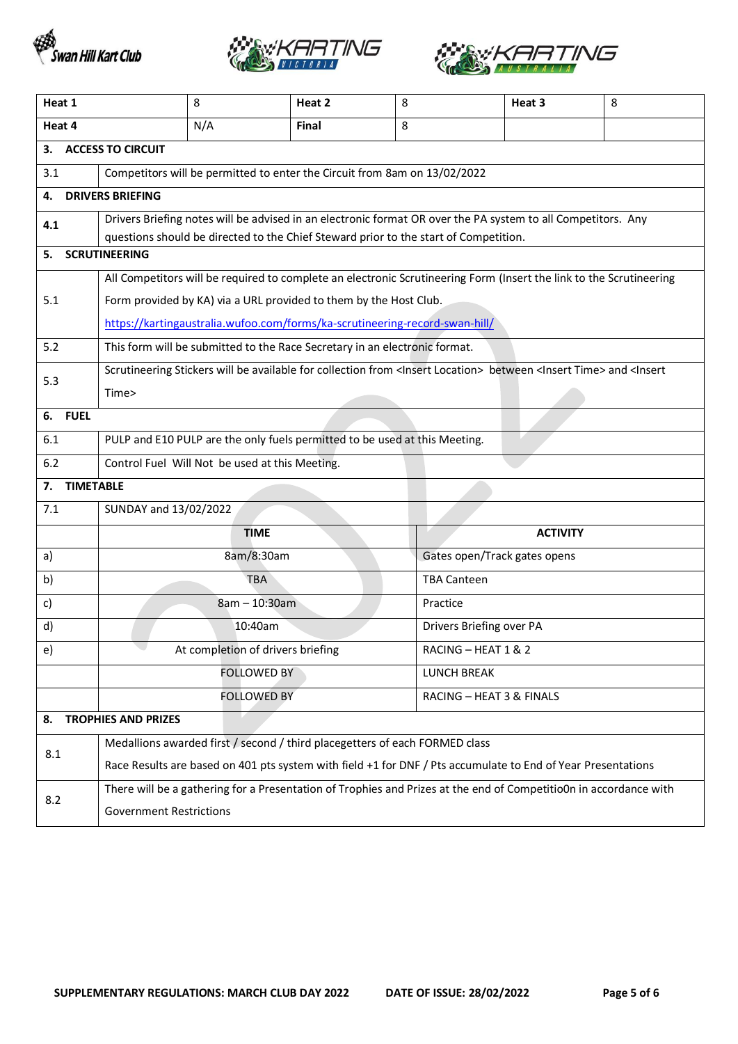





| Heat 1                           |                                                                                                                                                                                                      | 8                                 | Heat 2                                                                      | 8                                                                                                                                                                            | Heat 3 | 8 |  |  |
|----------------------------------|------------------------------------------------------------------------------------------------------------------------------------------------------------------------------------------------------|-----------------------------------|-----------------------------------------------------------------------------|------------------------------------------------------------------------------------------------------------------------------------------------------------------------------|--------|---|--|--|
| Heat 4                           |                                                                                                                                                                                                      | N/A                               | <b>Final</b>                                                                | 8                                                                                                                                                                            |        |   |  |  |
| З.                               | <b>ACCESS TO CIRCUIT</b>                                                                                                                                                                             |                                   |                                                                             |                                                                                                                                                                              |        |   |  |  |
| 3.1                              | Competitors will be permitted to enter the Circuit from 8am on 13/02/2022                                                                                                                            |                                   |                                                                             |                                                                                                                                                                              |        |   |  |  |
| 4.                               | <b>DRIVERS BRIEFING</b>                                                                                                                                                                              |                                   |                                                                             |                                                                                                                                                                              |        |   |  |  |
| 4.1                              | Drivers Briefing notes will be advised in an electronic format OR over the PA system to all Competitors. Any<br>questions should be directed to the Chief Steward prior to the start of Competition. |                                   |                                                                             |                                                                                                                                                                              |        |   |  |  |
| 5.                               | <b>SCRUTINEERING</b>                                                                                                                                                                                 |                                   |                                                                             |                                                                                                                                                                              |        |   |  |  |
|                                  | All Competitors will be required to complete an electronic Scrutineering Form (Insert the link to the Scrutineering                                                                                  |                                   |                                                                             |                                                                                                                                                                              |        |   |  |  |
| 5.1                              |                                                                                                                                                                                                      |                                   | Form provided by KA) via a URL provided to them by the Host Club.           |                                                                                                                                                                              |        |   |  |  |
|                                  |                                                                                                                                                                                                      |                                   | https://kartingaustralia.wufoo.com/forms/ka-scrutineering-record-swan-hill/ |                                                                                                                                                                              |        |   |  |  |
| 5.2                              |                                                                                                                                                                                                      |                                   | This form will be submitted to the Race Secretary in an electronic format.  |                                                                                                                                                                              |        |   |  |  |
| 5.3                              |                                                                                                                                                                                                      |                                   |                                                                             | Scrutineering Stickers will be available for collection from <insert location=""> between <insert time=""> and <insert< th=""><th></th><th></th></insert<></insert></insert> |        |   |  |  |
|                                  | Time>                                                                                                                                                                                                |                                   |                                                                             |                                                                                                                                                                              |        |   |  |  |
| 6. FUEL                          |                                                                                                                                                                                                      |                                   |                                                                             |                                                                                                                                                                              |        |   |  |  |
| 6.1                              | PULP and E10 PULP are the only fuels permitted to be used at this Meeting.                                                                                                                           |                                   |                                                                             |                                                                                                                                                                              |        |   |  |  |
| 6.2                              | Control Fuel Will Not be used at this Meeting.                                                                                                                                                       |                                   |                                                                             |                                                                                                                                                                              |        |   |  |  |
| 7.                               | <b>TIMETABLE</b>                                                                                                                                                                                     |                                   |                                                                             |                                                                                                                                                                              |        |   |  |  |
| 7.1                              | SUNDAY and 13/02/2022                                                                                                                                                                                |                                   |                                                                             |                                                                                                                                                                              |        |   |  |  |
|                                  | <b>TIME</b><br><b>ACTIVITY</b>                                                                                                                                                                       |                                   |                                                                             |                                                                                                                                                                              |        |   |  |  |
| a)                               |                                                                                                                                                                                                      | 8am/8:30am                        |                                                                             | Gates open/Track gates opens                                                                                                                                                 |        |   |  |  |
| b)                               |                                                                                                                                                                                                      | TBA                               |                                                                             | <b>TBA Canteen</b>                                                                                                                                                           |        |   |  |  |
| c)                               |                                                                                                                                                                                                      | 8am - 10:30am                     |                                                                             | Practice                                                                                                                                                                     |        |   |  |  |
| d)                               | 10:40am<br>Drivers Briefing over PA                                                                                                                                                                  |                                   |                                                                             |                                                                                                                                                                              |        |   |  |  |
| e)                               |                                                                                                                                                                                                      | At completion of drivers briefing |                                                                             | RACING - HEAT 1 & 2                                                                                                                                                          |        |   |  |  |
|                                  |                                                                                                                                                                                                      | <b>FOLLOWED BY</b>                |                                                                             | <b>LUNCH BREAK</b>                                                                                                                                                           |        |   |  |  |
|                                  |                                                                                                                                                                                                      | <b>FOLLOWED BY</b>                |                                                                             | RACING - HEAT 3 & FINALS                                                                                                                                                     |        |   |  |  |
| <b>TROPHIES AND PRIZES</b><br>8. |                                                                                                                                                                                                      |                                   |                                                                             |                                                                                                                                                                              |        |   |  |  |
| 8.1                              | Medallions awarded first / second / third placegetters of each FORMED class                                                                                                                          |                                   |                                                                             |                                                                                                                                                                              |        |   |  |  |
|                                  | Race Results are based on 401 pts system with field +1 for DNF / Pts accumulate to End of Year Presentations                                                                                         |                                   |                                                                             |                                                                                                                                                                              |        |   |  |  |
| 8.2                              | There will be a gathering for a Presentation of Trophies and Prizes at the end of CompetitioOn in accordance with                                                                                    |                                   |                                                                             |                                                                                                                                                                              |        |   |  |  |
|                                  | <b>Government Restrictions</b>                                                                                                                                                                       |                                   |                                                                             |                                                                                                                                                                              |        |   |  |  |